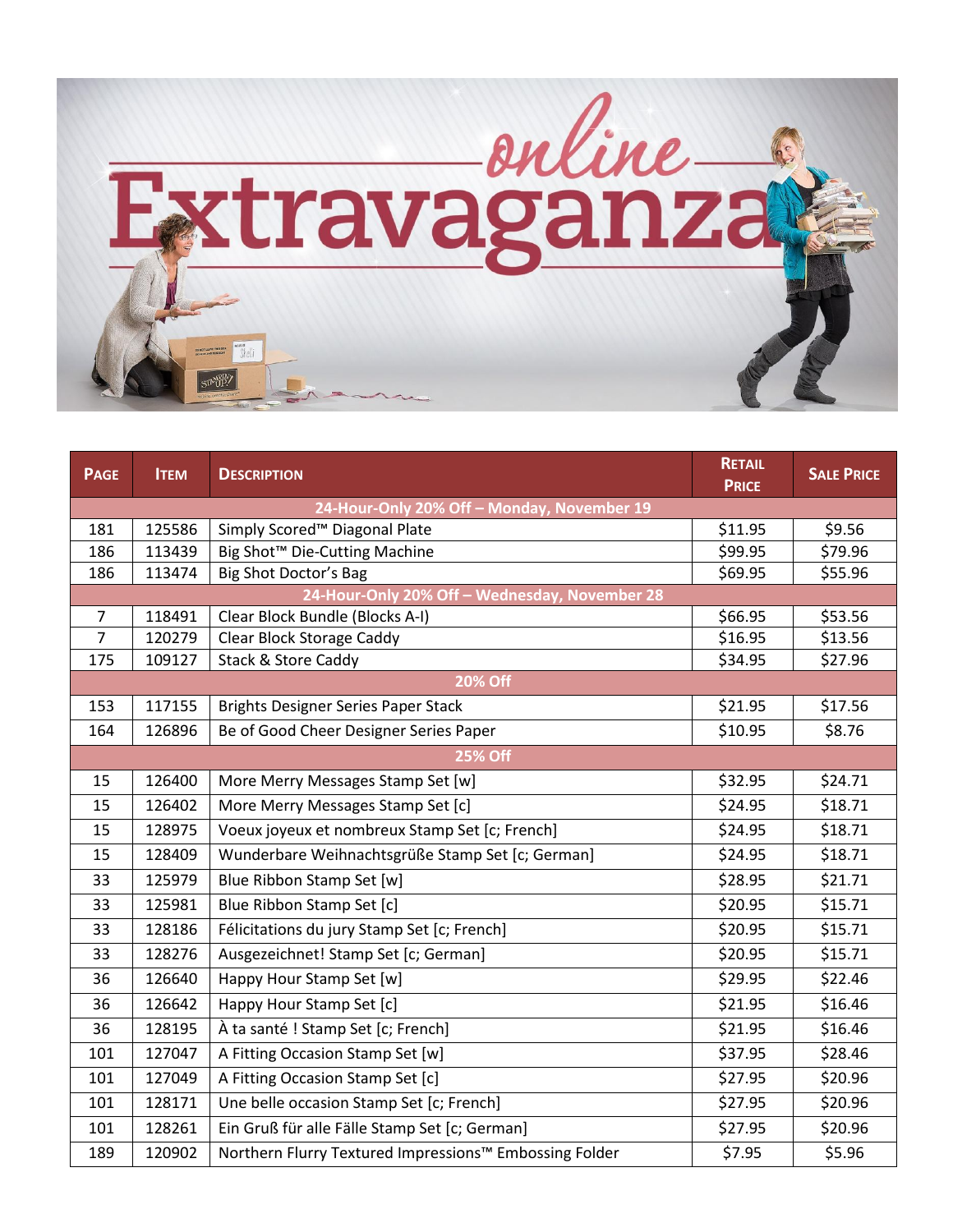

| <b>PAGE</b>                                | <b>ITEM</b>                                   | <b>DESCRIPTION</b>                                     | <b>RETAIL</b><br><b>PRICE</b> | <b>SALE PRICE</b> |  |  |  |
|--------------------------------------------|-----------------------------------------------|--------------------------------------------------------|-------------------------------|-------------------|--|--|--|
| 24-Hour-Only 20% Off - Monday, November 19 |                                               |                                                        |                               |                   |  |  |  |
| 181                                        | 125586                                        | Simply Scored™ Diagonal Plate                          | \$11.95                       | \$9.56            |  |  |  |
| 186                                        | 113439                                        | Big Shot <sup>™</sup> Die-Cutting Machine              | \$99.95                       | \$79.96           |  |  |  |
| 186                                        | 113474                                        | Big Shot Doctor's Bag                                  | \$69.95                       | \$55.96           |  |  |  |
|                                            | 24-Hour-Only 20% Off - Wednesday, November 28 |                                                        |                               |                   |  |  |  |
| $\overline{7}$                             | 118491                                        | Clear Block Bundle (Blocks A-I)                        | \$66.95                       | \$53.56           |  |  |  |
| $\overline{7}$                             | 120279                                        | <b>Clear Block Storage Caddy</b>                       | \$16.95                       | \$13.56           |  |  |  |
| 175                                        | 109127                                        | Stack & Store Caddy                                    | \$34.95                       | \$27.96           |  |  |  |
|                                            |                                               | <b>20% Off</b>                                         |                               |                   |  |  |  |
| 153                                        | 117155                                        | <b>Brights Designer Series Paper Stack</b>             | \$21.95                       | \$17.56           |  |  |  |
| 164                                        | 126896                                        | Be of Good Cheer Designer Series Paper                 | \$10.95                       | \$8.76            |  |  |  |
|                                            |                                               | <b>25% Off</b>                                         |                               |                   |  |  |  |
| 15                                         | 126400                                        | More Merry Messages Stamp Set [w]                      | \$32.95                       | \$24.71           |  |  |  |
| 15                                         | 126402                                        | More Merry Messages Stamp Set [c]                      | \$24.95                       | \$18.71           |  |  |  |
| 15                                         | 128975                                        | Voeux joyeux et nombreux Stamp Set [c; French]         | \$24.95                       | \$18.71           |  |  |  |
| 15                                         | 128409                                        | Wunderbare Weihnachtsgrüße Stamp Set [c; German]       | \$24.95                       | \$18.71           |  |  |  |
| 33                                         | 125979                                        | Blue Ribbon Stamp Set [w]                              | \$28.95                       | \$21.71           |  |  |  |
| 33                                         | 125981                                        | Blue Ribbon Stamp Set [c]                              | \$20.95                       | \$15.71           |  |  |  |
| 33                                         | 128186                                        | Félicitations du jury Stamp Set [c; French]            | \$20.95                       | \$15.71           |  |  |  |
| 33                                         | 128276                                        | Ausgezeichnet! Stamp Set [c; German]                   | \$20.95                       | \$15.71           |  |  |  |
| 36                                         | 126640                                        | Happy Hour Stamp Set [w]                               | \$29.95                       | \$22.46           |  |  |  |
| 36                                         | 126642                                        | Happy Hour Stamp Set [c]                               | \$21.95                       | \$16.46           |  |  |  |
| 36                                         | 128195                                        | À ta santé ! Stamp Set [c; French]                     | \$21.95                       | \$16.46           |  |  |  |
| 101                                        | 127047                                        | A Fitting Occasion Stamp Set [w]                       | \$37.95                       | \$28.46           |  |  |  |
| 101                                        | 127049                                        | A Fitting Occasion Stamp Set [c]                       | \$27.95                       | \$20.96           |  |  |  |
| 101                                        | 128171                                        | Une belle occasion Stamp Set [c; French]               | \$27.95                       | \$20.96           |  |  |  |
| 101                                        | 128261                                        | Ein Gruß für alle Fälle Stamp Set [c; German]          | \$27.95                       | \$20.96           |  |  |  |
| 189                                        | 120902                                        | Northern Flurry Textured Impressions™ Embossing Folder | \$7.95                        | \$5.96            |  |  |  |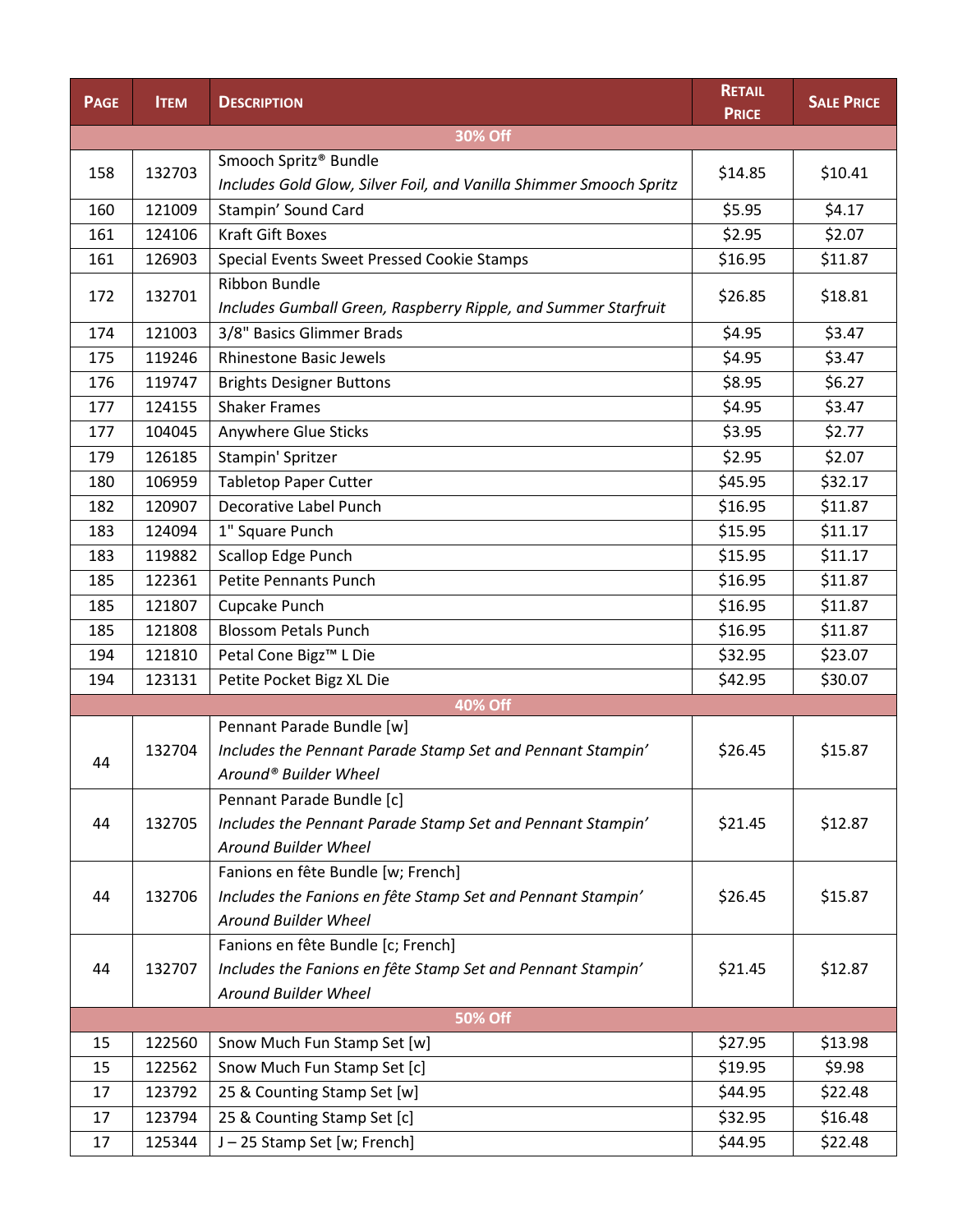| <b>PAGE</b> | <b>ITEM</b> | <b>DESCRIPTION</b>                                                 | <b>RETAIL</b><br><b>PRICE</b> | <b>SALE PRICE</b> |  |  |  |
|-------------|-------------|--------------------------------------------------------------------|-------------------------------|-------------------|--|--|--|
| 30% Off     |             |                                                                    |                               |                   |  |  |  |
| 158         | 132703      | Smooch Spritz® Bundle                                              | \$14.85                       | \$10.41           |  |  |  |
|             |             | Includes Gold Glow, Silver Foil, and Vanilla Shimmer Smooch Spritz |                               |                   |  |  |  |
| 160         | 121009      | Stampin' Sound Card                                                | \$5.95                        | \$4.17            |  |  |  |
| 161         | 124106      | <b>Kraft Gift Boxes</b>                                            | \$2.95                        | \$2.07            |  |  |  |
| 161         | 126903      | Special Events Sweet Pressed Cookie Stamps                         | \$16.95                       | \$11.87           |  |  |  |
| 172         | 132701      | <b>Ribbon Bundle</b>                                               | \$26.85                       | \$18.81           |  |  |  |
|             |             | Includes Gumball Green, Raspberry Ripple, and Summer Starfruit     |                               |                   |  |  |  |
| 174         | 121003      | 3/8" Basics Glimmer Brads                                          | \$4.95                        | \$3.47            |  |  |  |
| 175         | 119246      | <b>Rhinestone Basic Jewels</b>                                     | \$4.95                        | \$3.47            |  |  |  |
| 176         | 119747      | <b>Brights Designer Buttons</b>                                    | \$8.95                        | \$6.27            |  |  |  |
| 177         | 124155      | <b>Shaker Frames</b>                                               | \$4.95                        | \$3.47            |  |  |  |
| 177         | 104045      | Anywhere Glue Sticks                                               | \$3.95                        | \$2.77            |  |  |  |
| 179         | 126185      | Stampin' Spritzer                                                  | \$2.95                        | \$2.07            |  |  |  |
| 180         | 106959      | <b>Tabletop Paper Cutter</b>                                       | \$45.95                       | \$32.17           |  |  |  |
| 182         | 120907      | Decorative Label Punch                                             | \$16.95                       | \$11.87           |  |  |  |
| 183         | 124094      | 1" Square Punch                                                    | \$15.95                       | \$11.17           |  |  |  |
| 183         | 119882      | Scallop Edge Punch                                                 | \$15.95                       | \$11.17           |  |  |  |
| 185         | 122361      | <b>Petite Pennants Punch</b>                                       | \$16.95                       | \$11.87           |  |  |  |
| 185         | 121807      | Cupcake Punch                                                      | \$16.95                       | \$11.87           |  |  |  |
| 185         | 121808      | <b>Blossom Petals Punch</b>                                        | \$16.95                       | \$11.87           |  |  |  |
| 194         | 121810      | Petal Cone Bigz™ L Die                                             | \$32.95                       | \$23.07           |  |  |  |
| 194         | 123131      | Petite Pocket Bigz XL Die                                          | \$42.95                       | \$30.07           |  |  |  |
|             |             | 40% Off                                                            |                               |                   |  |  |  |
|             |             | Pennant Parade Bundle [w]                                          |                               |                   |  |  |  |
| 44          | 132704      | Includes the Pennant Parade Stamp Set and Pennant Stampin'         | \$26.45                       | \$15.87           |  |  |  |
|             |             | Around® Builder Wheel                                              |                               |                   |  |  |  |
|             |             | Pennant Parade Bundle [c]                                          |                               |                   |  |  |  |
| 44          | 132705      | Includes the Pennant Parade Stamp Set and Pennant Stampin'         | \$21.45                       | \$12.87           |  |  |  |
|             |             | Around Builder Wheel                                               |                               |                   |  |  |  |
|             |             | Fanions en fête Bundle [w; French]                                 |                               |                   |  |  |  |
| 44          | 132706      | Includes the Fanions en fête Stamp Set and Pennant Stampin'        | \$26.45                       | \$15.87           |  |  |  |
|             |             | <b>Around Builder Wheel</b>                                        |                               |                   |  |  |  |
|             |             | Fanions en fête Bundle [c; French]                                 |                               |                   |  |  |  |
| 44          | 132707      | Includes the Fanions en fête Stamp Set and Pennant Stampin'        | \$21.45                       | \$12.87           |  |  |  |
|             |             | Around Builder Wheel                                               |                               |                   |  |  |  |
|             |             | <b>50% Off</b>                                                     |                               |                   |  |  |  |
| 15          | 122560      | Snow Much Fun Stamp Set [w]                                        | \$27.95                       | \$13.98           |  |  |  |
| 15          | 122562      | Snow Much Fun Stamp Set [c]                                        | \$19.95                       | \$9.98            |  |  |  |
| 17          | 123792      | 25 & Counting Stamp Set [w]                                        | \$44.95                       | \$22.48           |  |  |  |
| 17          | 123794      | 25 & Counting Stamp Set [c]                                        | \$32.95                       | \$16.48           |  |  |  |
| 17          | 125344      | J-25 Stamp Set [w; French]                                         | \$44.95                       | \$22.48           |  |  |  |